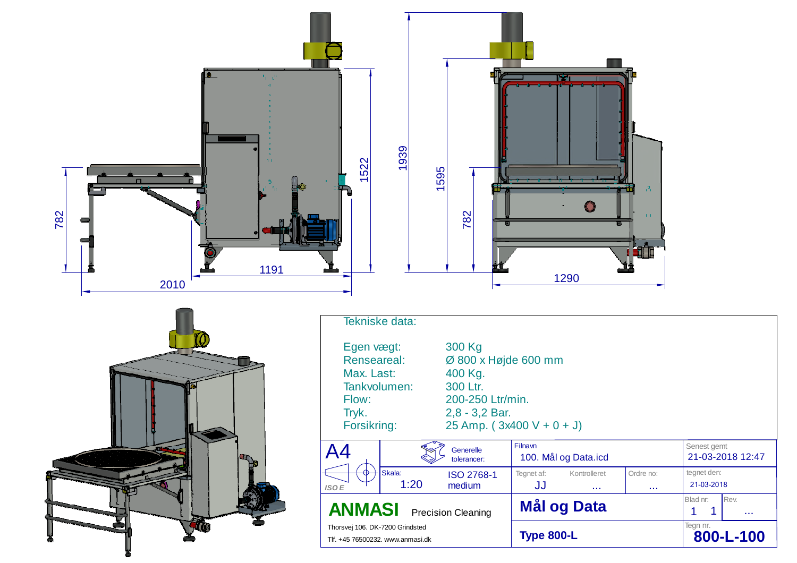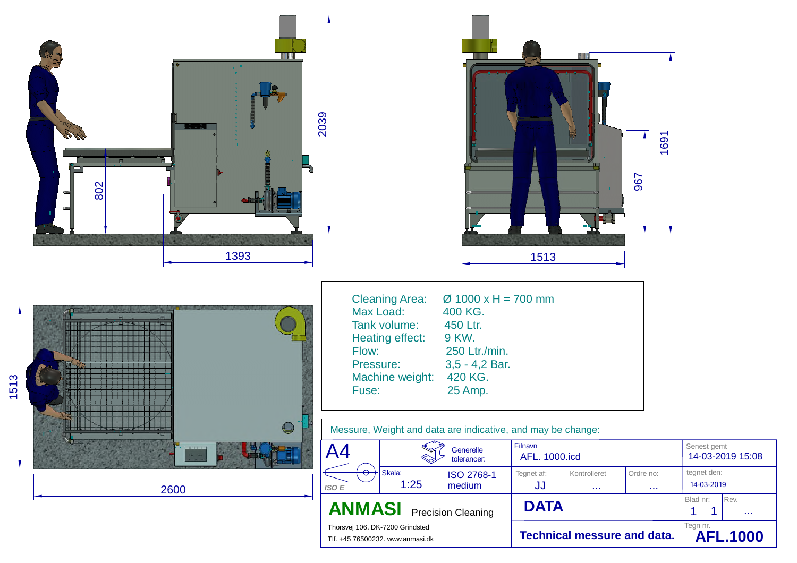| <u>ma il</u><br>5 Y<br>2039<br>802<br>$\blacksquare$<br>1393 |                                                                                                                                                                                                                                                                                                                                                                                                                                                                                                                                                                            | 1691<br>967<br>1513                                                                                                                                               |                                                                                                                                                     |
|--------------------------------------------------------------|----------------------------------------------------------------------------------------------------------------------------------------------------------------------------------------------------------------------------------------------------------------------------------------------------------------------------------------------------------------------------------------------------------------------------------------------------------------------------------------------------------------------------------------------------------------------------|-------------------------------------------------------------------------------------------------------------------------------------------------------------------|-----------------------------------------------------------------------------------------------------------------------------------------------------|
| 1513<br>$\ominus$<br>2600                                    | <b>Cleaning Area:</b><br>$\varnothing$ 1000 x H = 700 mm<br>Max Load:<br>400 KG.<br>Tank volume:<br>450 Ltr.<br>9 KW.<br>Heating effect:<br>Flow:<br>250 Ltr./min.<br>Pressure:<br>3,5 - 4,2 Bar.<br>Machine weight:<br>420 KG.<br>Fuse:<br>25 Amp.<br>Messure, Weight and data are indicative, and may be change:<br>A <sub>4</sub><br>Generelle<br>tolerancer:<br>Skala:<br>$\color{red} \biguplus$<br>ISO 2768-1<br>1:25<br>medium<br><b>ISO E</b><br><b>ANMASI</b><br><b>Precision Cleaning</b><br>Thorsvej 106. DK-7200 Grindsted<br>Tlf. +45 76500232. www.anmasi.dk | Filnavn<br>AFL. 1000.icd<br>Kontrolleret<br>Ordre no:<br>Tegnet af:<br><b>JJ</b><br>$\sim 100$<br>$\sim 100$<br><b>DATA</b><br><b>Technical messure and data.</b> | Senest gemt<br>14-03-2019 15:08<br>tegnet den:<br>14-03-2019<br>Blad nr:<br>Rev.<br>$\mathbf{1}$<br>$\mathbf 1$<br>$\sim$<br>$\mathsf{L}$ afish nr. |